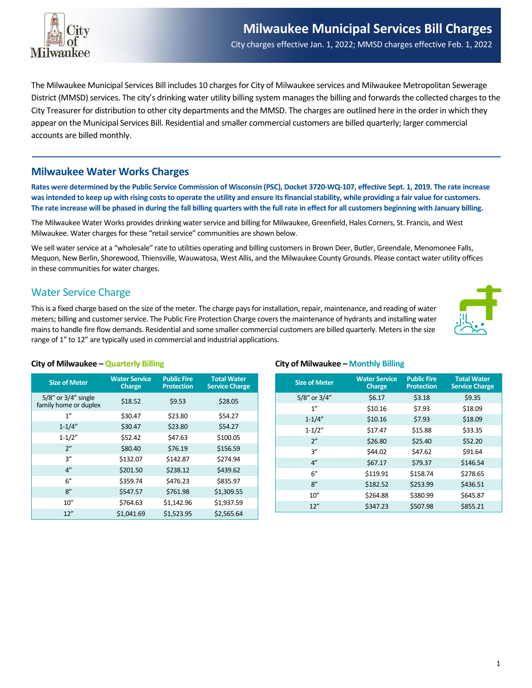

The Milwaukee Municipal Services Bill includes 10 charges for City of Milwaukee services and Milwaukee Metropolitan Sewerage District (MMSD) services. The city's drinking water utility billing system manages the billing and forwards the collected charges to the City Treasurer for distribution to other city departments and the MMSD. The charges are outlined here in the order in which they appear on the Municipal Services Bill. Residential and smaller commercial customers are billed quarterly; larger commercial accounts are billed monthly.

### **Milwaukee Water Works Charges**

**Rates were determined by the Public Service Commission of Wisconsin (PSC), Docket 3720-WQ-107, effective Sept. 1, 2019. The rate increase was intended to keep up with rising costs to operate the utility and ensure its financial stability, while providing a fair value for customers. The rate increase will be phased in during the fall billing quarters with the full rate in effect for all customers beginning with January billing.**

The Milwaukee Water Works provides drinking water service and billing for Milwaukee, Greenfield, Hales Corners, St. Francis, and West Milwaukee. Water charges for these "retail service" communities are shown below.

We sell water service at a "wholesale" rate to utilities operating and billing customers in Brown Deer, Butler, Greendale, Menomonee Falls, Mequon, New Berlin, Shorewood, Thiensville, Wauwatosa, West Allis, and the Milwaukee County Grounds. Please contact water utility offices in these communities for water charges.

### Water Service Charge

This is a fixed charge based on the size of the meter. The charge pays for installation, repair, maintenance, and reading of water meters; billing and customer service. The Public Fire Protection Charge covers the maintenance of hydrants and installing water mains to handle fire flow demands. Residential and some smaller commercial customers are billed quarterly. Meters in the size range of 1" to 12" are typically used in commercial and industrial applications.



#### **City of Milwaukee – Quarterly Billing**

| <b>Size of Meter</b>                               | <b>Water Service</b><br><b>Charge</b> | <b>Public Fire</b><br><b>Protection</b> | <b>Total Water</b><br><b>Service Charge</b> |
|----------------------------------------------------|---------------------------------------|-----------------------------------------|---------------------------------------------|
| $5/8$ " or $3/4$ " single<br>family home or duplex | \$18.52                               | \$9.53                                  | \$28.05                                     |
| 1"                                                 | \$30.47                               | \$23.80                                 | \$54.27                                     |
| $1 - 1/4"$                                         | \$30.47                               | \$23.80                                 | \$54.27                                     |
| $1 - 1/2"$                                         | \$52.42                               | \$47.63                                 | \$100.05                                    |
| 2"                                                 | \$80.40                               | \$76.19                                 | \$156.59                                    |
| 3''                                                | \$132.07                              | \$142.87                                | \$274.94                                    |
| 4"                                                 | \$201.50                              | \$238.12                                | \$439.62                                    |
| 6''                                                | \$359.74                              | \$476.23                                | \$835.97                                    |
| 8"                                                 | \$547.57                              | \$761.98                                | \$1,309.55                                  |
| 10''                                               | \$764.63                              | \$1,142.96                              | \$1,937.59                                  |
| 12''                                               | \$1,041.69                            | \$1,523.95                              | \$2,565.64                                  |

#### **City of Milwaukee – Monthly Billing**

| <b>Size of Meter</b> | <b>Water Service</b><br><b>Charge</b> | <b>Public Fire</b><br><b>Protection</b> | <b>Total Water</b><br><b>Service Charge</b> |
|----------------------|---------------------------------------|-----------------------------------------|---------------------------------------------|
| 5/8" or 3/4"         | \$6.17                                | \$3.18                                  | \$9.35                                      |
| 1"                   | \$10.16                               | \$7.93                                  | \$18.09                                     |
| $1 - 1/4"$           | \$10.16                               | \$7.93                                  | \$18.09                                     |
| $1 - 1/2"$           | \$17.47                               | \$15.88                                 | \$33.35                                     |
| 2"                   | \$26.80                               | \$25.40                                 | \$52.20                                     |
| 3''                  | \$44.02                               | \$47.62                                 | \$91.64                                     |
| 4"                   | \$67.17                               | \$79.37                                 | \$146.54                                    |
| 6''                  | \$119.91                              | \$158.74                                | \$278.65                                    |
| 8''                  | \$182.52                              | \$253.99                                | \$436.51                                    |
| 10''                 | \$264.88                              | \$380.99                                | \$645.87                                    |
| 12''                 | \$347.23                              | \$507.98                                | \$855.21                                    |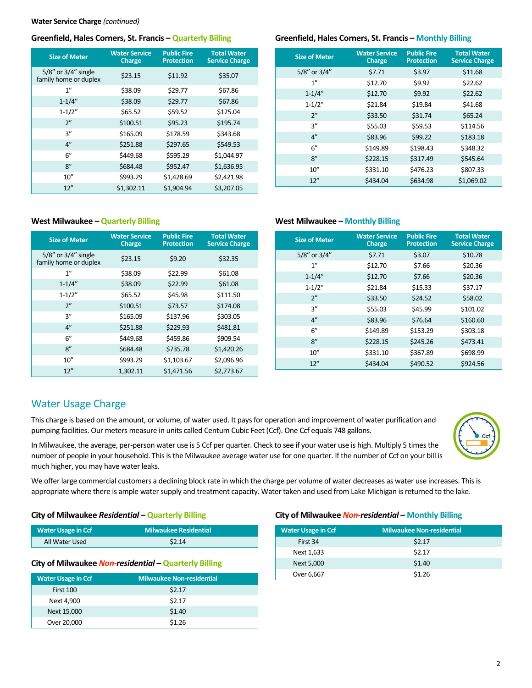#### **Greenfield, Hales Corners, St. Francis – Quarterly Billing**

| <b>Size of Meter</b>                         | <b>Water Service</b><br><b>Charge</b> | <b>Public Fire</b><br><b>Protection</b> | <b>Total Water</b><br><b>Service Charge</b> |
|----------------------------------------------|---------------------------------------|-----------------------------------------|---------------------------------------------|
| 5/8" or 3/4" single<br>family home or duplex | \$23.15                               | \$11.92                                 | \$35.07                                     |
| 1 <sup>''</sup>                              | \$38.09                               | \$29.77                                 | \$67.86                                     |
| $1 - 1/4"$                                   | \$38.09                               | \$29.77                                 | \$67.86                                     |
| $1 - 1/2"$                                   | \$65.52                               | \$59.52                                 | \$125.04                                    |
| 2"                                           | \$100.51                              | \$95.23                                 | \$195.74                                    |
| 3''                                          | \$165.09                              | \$178.59                                | \$343.68                                    |
| 4"                                           | \$251.88                              | \$297.65                                | \$549.53                                    |
| 6"                                           | \$449.68                              | \$595.29                                | \$1,044.97                                  |
| 8"                                           | \$684.48                              | \$952.47                                | \$1,636.95                                  |
| 10''                                         | \$993.29                              | \$1,428.69                              | \$2,421.98                                  |
| 12''                                         | \$1,302.11                            | \$1,904.94                              | \$3,207.05                                  |

#### **Greenfield, Hales Corners, St. Francis – Monthly Billing**

| <b>Size of Meter</b> | <b>Water Service</b><br><b>Charge</b> | <b>Public Fire</b><br><b>Protection</b> | <b>Total Water</b><br><b>Service Charge</b> |
|----------------------|---------------------------------------|-----------------------------------------|---------------------------------------------|
| 5/8" or 3/4"         | \$7.71                                | \$3.97                                  | \$11.68                                     |
| 1"                   | \$12.70                               | \$9.92                                  | \$22.62                                     |
| $1 - 1/4"$           | \$12.70                               | \$9.92                                  | \$22.62                                     |
| $1 - 1/2"$           | \$21.84                               | \$19.84                                 | \$41.68                                     |
| 2"                   | \$33.50                               | \$31.74                                 | \$65.24                                     |
| 3''                  | \$55.03                               | \$59.53                                 | \$114.56                                    |
| 4"                   | \$83.96                               | \$99.22                                 | \$183.18                                    |
| 6''                  | \$149.89                              | \$198.43                                | \$348.32                                    |
| 8''                  | \$228.15                              | \$317.49                                | \$545.64                                    |
| 10''                 | \$331.10                              | \$476.23                                | \$807.33                                    |
| 12''                 | \$434.04                              | \$634.98                                | \$1,069.02                                  |

#### **West Milwaukee – Quarterly Billing**

| <b>Size of Meter</b>                               | <b>Water Service</b><br><b>Charge</b> | <b>Public Fire</b><br><b>Protection</b> | <b>Total Water</b><br><b>Service Charge</b> |
|----------------------------------------------------|---------------------------------------|-----------------------------------------|---------------------------------------------|
| $5/8$ " or $3/4$ " single<br>family home or duplex | \$23.15                               | \$9.20                                  | \$32.35                                     |
| 1 <sup>''</sup>                                    | \$38.09                               | \$22.99                                 | \$61.08                                     |
| $1 - 1/4"$                                         | \$38.09                               | \$22.99                                 | \$61.08                                     |
| $1 - 1/2"$                                         | \$65.52                               | \$45.98                                 | \$111.50                                    |
| 2"                                                 | \$100.51                              | \$73.57                                 | \$174.08                                    |
| 3''                                                | \$165.09                              | \$137.96                                | \$303.05                                    |
| 4"                                                 | \$251.88                              | \$229.93                                | \$481.81                                    |
| 6"                                                 | \$449.68                              | \$459.86                                | \$909.54                                    |
| 8"                                                 | \$684.48                              | \$735.78                                | \$1,420.26                                  |
| 10''                                               | \$993.29                              | \$1,103.67                              | \$2,096.96                                  |
| 12"                                                | 1,302.11                              | \$1,471.56                              | \$2,773.67                                  |

#### **West Milwaukee – Monthly Billing**

| <b>Size of Meter</b> | <b>Water Service</b><br><b>Charge</b> | <b>Public Fire</b><br><b>Protection</b> | <b>Total Water</b><br><b>Service Charge</b> |
|----------------------|---------------------------------------|-----------------------------------------|---------------------------------------------|
| 5/8" or 3/4"         | \$7.71                                | \$3.07                                  | \$10.78                                     |
| 1"                   | \$12.70                               | \$7.66                                  | \$20.36                                     |
| $1 - 1/4"$           | \$12.70                               | \$7.66                                  | \$20.36                                     |
| $1 - 1/2"$           | \$21.84                               | \$15.33                                 | \$37.17                                     |
| 2"                   | \$33.50                               | \$24.52                                 | \$58.02                                     |
| 3''                  | \$55.03                               | \$45.99                                 | \$101.02                                    |
| 4"                   | \$83.96                               | \$76.64                                 | \$160.60                                    |
| 6"                   | \$149.89                              | \$153.29                                | \$303.18                                    |
| 8"                   | \$228.15                              | \$245.26                                | \$473.41                                    |
| 10''                 | \$331.10                              | \$367.89                                | \$698.99                                    |
| 12"                  | \$434.04                              | \$490.52                                | \$924.56                                    |

#### Water Usage Charge

This charge is based on the amount, or volume, of water used. It pays for operation and improvement of water purification and pumping facilities. Our meters measure in units called Centum Cubic Feet (Ccf). One Ccf equals 748 gallons.

In Milwaukee, the average, per-person water use is 5 Ccf per quarter. Check to see if your water use is high. Multiply 5 times the number of people in your household. This is the Milwaukee average water use for one quarter. If the number of Ccf on your bill is much higher, you may have water leaks.

We offer large commercial customers a declining block rate in which the charge per volume of water decreases as water use increases. This is appropriate where there is ample water supply and treatment capacity. Water taken and used from Lake Michigan is returned to the lake.

#### **City of Milwaukee** *Residential* **– Quarterly Billing**

| <b>Water Usage in Ccf</b> | <b>Milwaukee Residential</b> |
|---------------------------|------------------------------|
| All Water Used            | \$2.14                       |

#### **City of Milwaukee** *Non-residential* **– Quarterly Billing**

| <b>Water Usage in Ccf</b> | <b>Milwaukee Non-residential</b> |  |
|---------------------------|----------------------------------|--|
| First 100                 | \$2.17                           |  |
| Next 4,900                | \$2.17                           |  |
| Next 15,000               | \$1.40                           |  |
| Over 20,000               | \$1.26                           |  |

#### **City of Milwaukee** *Non-residential* **– Monthly Billing**

| <b>Water Usage in Ccf</b> | <b>Milwaukee Non-residential</b> |
|---------------------------|----------------------------------|
| First 34                  | \$2.17                           |
| Next 1,633                | \$2.17                           |
| Next 5,000                | \$1.40                           |
| Over 6,667                | \$1.26                           |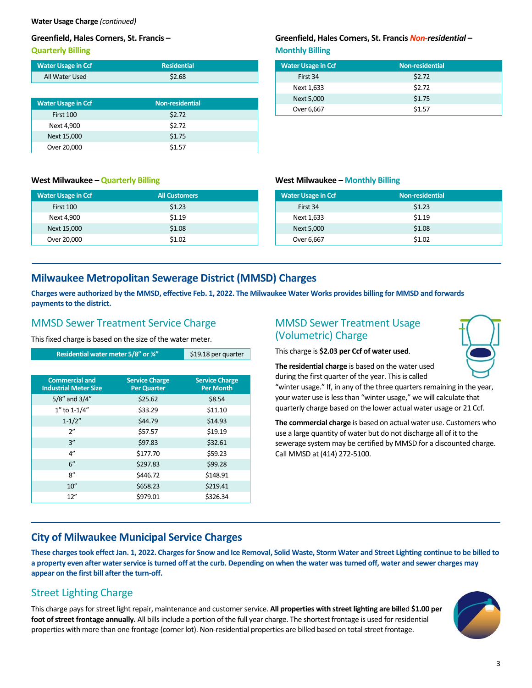**Water Usage Charge** *(continued)*

#### **Greenfield, Hales Corners, St. Francis –**

**Quarterly Billing**

| <b>Water Usage in Ccf</b> | <b>Residential</b> |
|---------------------------|--------------------|
| All Water Used            | \$2.68             |

| <b>Water Usage in Ccf</b> | <b>Non-residential</b> |  |
|---------------------------|------------------------|--|
| First 100                 | \$2.72                 |  |
| Next 4,900                | \$2.72                 |  |
| Next 15,000               | \$1.75                 |  |
| Over 20,000               | \$1.57                 |  |

# **West Milwaukee – Quarterly Billing**

| <b>Water Usage in Ccf</b> | <b>All Customers</b> |  |
|---------------------------|----------------------|--|
| First 100                 | \$1.23               |  |
| Next 4,900                | \$1.19               |  |
| Next 15,000               | \$1.08               |  |
| Over 20,000               | \$1.02               |  |

#### **Greenfield, Hales Corners, St. Francis** *Non-residential* **– Monthly Billing**

| <b>Water Usage in Ccf</b> | <b>Non-residential</b> |
|---------------------------|------------------------|
| First 34                  | \$2.72                 |
| Next 1,633                | \$2.72                 |
| Next 5,000                | \$1.75                 |
| Over 6,667                | \$1.57                 |

#### **West Milwaukee – Monthly Billing**

| <b>Water Usage in Ccf</b> | <b>Non-residential</b> |
|---------------------------|------------------------|
| First 34                  | \$1.23                 |
| Next 1,633                | \$1.19                 |
| Next 5,000                | \$1.08                 |
| Over 6,667                | \$1.02                 |

## **Milwaukee Metropolitan Sewerage District (MMSD) Charges**

**Charges were authorized by the MMSD, effective Feb. 1, 2022. The Milwaukee Water Works provides billing for MMSD and forwards payments to the district.**

### MMSD Sewer Treatment Service Charge

This fixed charge is based on the size of the water meter.

| Residential water meter 5/8" or 3/4"                  |                                             | \$19.18 per quarter                       |
|-------------------------------------------------------|---------------------------------------------|-------------------------------------------|
|                                                       |                                             |                                           |
| <b>Commercial and</b><br><b>Industrial Meter Size</b> | <b>Service Charge</b><br><b>Per Quarter</b> | <b>Service Charge</b><br><b>Per Month</b> |
| 5/8" and 3/4"                                         | \$25.62                                     | \$8.54                                    |
| 1" to 1-1/4"                                          | \$33.29                                     | \$11.10                                   |
| $1 - 1/2"$                                            | \$44.79                                     | \$14.93                                   |
| 2"                                                    | \$57.57                                     | \$19.19                                   |
| 3''                                                   | \$97.83                                     | \$32.61                                   |
| 4"                                                    | \$177.70                                    | \$59.23                                   |
| 6''                                                   | \$297.83                                    | \$99.28                                   |
| 8''                                                   | \$446.72                                    | \$148.91                                  |
| 10''                                                  | \$658.23                                    | \$219.41                                  |
| 12"                                                   | \$979.01                                    | \$326.34                                  |

### MMSD Sewer Treatment Usage (Volumetric) Charge

This charge is **\$2.03 per Ccf of water used**.



**The residential charge** is based on the water used during the first quarter of the year. This is called "winter usage." If, in any of the three quarters remaining in the year,

your water use is less than "winter usage," we will calculate that quarterly charge based on the lower actual water usage or 21 Ccf.

**The commercial charge** is based on actual water use. Customers who use a large quantity of water but do not discharge all of it to the sewerage system may be certified by MMSD for a discounted charge. Call MMSD at (414) 272-5100.

## **City of Milwaukee Municipal Service Charges**

**These charges took effect Jan. 1, 2022. Charges for Snow and Ice Removal, Solid Waste, Storm Water and Street Lighting continue to be billed to a property even after water service is turned off at the curb. Depending on when the water was turned off, water and sewer charges may appear on the first bill after the turn-off.**

## Street Lighting Charge

This charge pays for street light repair, maintenance and customer service. **All properties with street lighting are bille**d **\$1.00 per foot of street frontage annually.** All bills include a portion of the full year charge. The shortest frontage is used for residential properties with more than one frontage (corner lot). Non-residential properties are billed based on total street frontage.

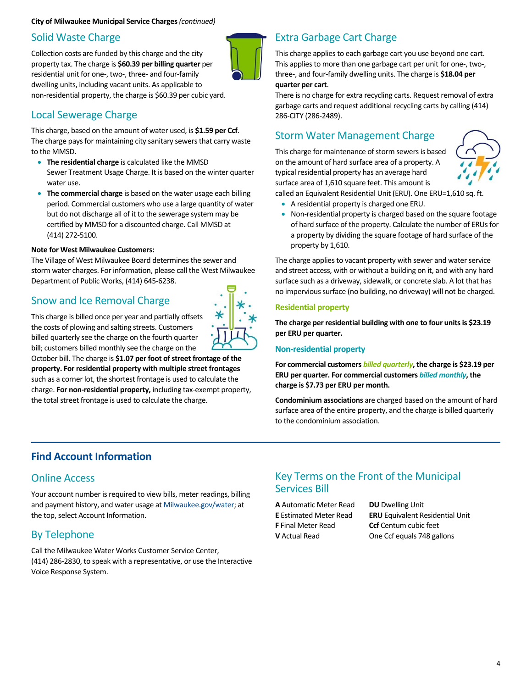#### Solid Waste Charge

Collection costs are funded by this charge and the city property tax. The charge is **\$60.39 per billing quarter** per residential unit for one-, two-, three- and four-family dwelling units, including vacant units. As applicable to non-residential property, the charge is \$60.39 per cubic yard.

## Local Sewerage Charge

This charge, based on the amount of water used, is **\$1.59 per Ccf**. The charge pays for maintaining city sanitary sewers that carry waste to the MMSD.

- **The residential charge** is calculated like the MMSD Sewer Treatment Usage Charge. It is based on the winter quarter water use.
- **The commercial charge** is based on the water usage each billing period. Commercial customers who use a large quantity of water but do not discharge all of it to the sewerage system may be certified by MMSD for a discounted charge. Call MMSD at (414) 272-5100.

#### **Note for West Milwaukee Customers:**

The Village of West Milwaukee Board determines the sewer and storm water charges. For information, please call the West Milwaukee Department of Public Works, (414) 645-6238.

## Snow and Ice Removal Charge



This charge is billed once per year and partially offsets the costs of plowing and salting streets. Customers billed quarterly see the charge on the fourth quarter bill; customers billed monthly see the charge on the

October bill. The charge is **\$1.07 per foot of street frontage of the property. For residential property with multiple street frontages**  such as a corner lot, the shortest frontage is used to calculate the charge. **For non-residential property,** including tax-exempt property, the total street frontage is used to calculate the charge.

## Extra Garbage Cart Charge

This charge applies to each garbage cart you use beyond one cart. This applies to more than one garbage cart per unit for one-, two-, three-, and four-family dwelling units. The charge is **\$18.04 per quarter per cart**.

There is no charge for extra recycling carts. Request removal of extra garbage carts and request additional recycling carts by calling (414) 286-CITY (286-2489).

## Storm Water Management Charge

This charge for maintenance of storm sewers is based on the amount of hard surface area of a property. A typical residential property has an average hard surface area of 1,610 square feet. This amount is called an Equivalent Residential Unit (ERU). One ERU=1,610 sq. ft.



- A residential property is charged one ERU.
- Non-residential property is charged based on the square footage of hard surface of the property. Calculate the number of ERUs for a property by dividing the square footage of hard surface of the property by 1,610.

The charge applies to vacant property with sewer and water service and street access, with or without a building on it, and with any hard surface such as a driveway, sidewalk, or concrete slab. A lot that has no impervious surface (no building, no driveway) will not be charged.

#### **Residential property**

**The charge per residential building with one to four units is \$23.19 per ERU per quarter.**

#### **Non-residential property**

**For commercial customers** *billed quarterly***, the charge is \$23.19 per ERU per quarter. For commercial customers** *billed monthly***, the charge is \$7.73 per ERU per month.**

**Condominium associations** are charged based on the amount of hard surface area of the entire property, and the charge is billed quarterly to the condominium association.

## **Find Account Information**

### Online Access

Your account number is required to view bills, meter readings, billing and payment history, and water usage at Milwaukee.gov/water; at the top, select Account Information.

## By Telephone

Call the Milwaukee Water Works Customer Service Center, (414) 286-2830, to speak with a representative, or use the Interactive Voice Response System.

## Key Terms on the Front of the Municipal Services Bill

**A** Automatic Meter Read **DU** Dwelling Unit **F** Final Meter Read **Ccf** Centum cubic feet

**E** Estimated Meter Read **ERU** Equivalent Residential Unit **V** Actual Read One Ccf equals 748 gallons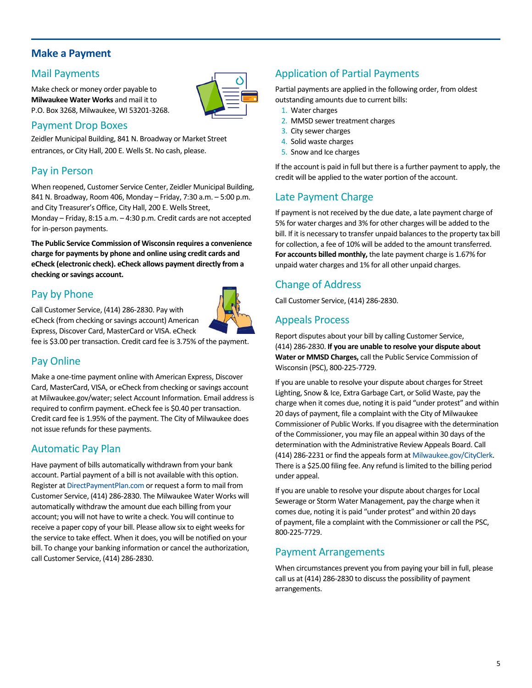### **Make a Payment**

#### Mail Payments

Make check or money order payable to **Milwaukee Water Works** and mail it to P.O. Box 3268, Milwaukee, WI 53201-3268.



### Payment Drop Boxes

Zeidler Municipal Building, 841 N. Broadway or Market Street entrances, or City Hall, 200 E. Wells St. No cash, please.

### Pay in Person

When reopened, Customer Service Center, Zeidler Municipal Building, 841 N. Broadway, Room 406, Monday – Friday, 7:30 a.m. – 5:00 p.m. and City Treasurer's Office, City Hall, 200 E. Wells Street,

Monday – Friday, 8:15 a.m. – 4:30 p.m. Credit cards are not accepted for in-person payments.

**The Public Service Commission of Wisconsin requires a convenience charge for payments by phone and online using credit cards and eCheck (electronic check). eCheck allows payment directly from a checking or savings account.**

## Pay by Phone

Call Customer Service, (414) 286-2830. Pay with

eCheck (from checking or savings account) American Express, Discover Card, MasterCard or VISA. eCheck

fee is \$3.00 per transaction. Credit card fee is 3.75% of the payment.

## Pay Online

Make a one-time payment online with American Express, Discover Card, MasterCard, VISA, or eCheck from checking or savings account at Milwaukee.gov/water; select Account Information. Email addressis required to confirm payment. eCheck fee is \$0.40 per transaction. Credit card fee is 1.95% of the payment. The City of Milwaukee does not issue refunds for these payments.

### Automatic Pay Plan

Have payment of bills automatically withdrawn from your bank account. Partial payment of a bill is not available with this option. Register at DirectPaymentPlan.com or request a form to mail from Customer Service, (414) 286-2830. The Milwaukee Water Works will automatically withdraw the amount due each billing from your account; you will not have to write a check. You will continue to receive a paper copy of your bill. Please allow six to eight weeks for the service to take effect. When it does, you will be notified on your bill. To change your banking information or cancel the authorization, call Customer Service, (414) 286-2830.

## Application of Partial Payments

Partial payments are applied in the following order, from oldest outstanding amounts due to current bills:

- 1. Water charges
- 2. MMSD sewer treatment charges
- 3. City sewer charges
- 4. Solid waste charges
- 5. Snow and Ice charges

If the account is paid in full but there is a further payment to apply, the credit will be applied to the water portion of the account.

### Late Payment Charge

If payment is not received by the due date, a late payment charge of 5% for water charges and 3% for other charges will be added to the bill. If it is necessary to transfer unpaid balances to the property tax bill for collection, a fee of 10% will be added to the amount transferred. **For accounts billed monthly,** the late payment charge is 1.67% for unpaid water charges and 1% for all other unpaid charges.

## Change of Address

Call Customer Service, (414) 286-2830.

## Appeals Process

Report disputes about your bill by calling Customer Service, (414) 286-2830. **If you are unable to resolve your dispute about Water or MMSD Charges,** call the Public Service Commission of Wisconsin (PSC), 800-225-7729.

If you are unable to resolve your dispute about charges for Street Lighting, Snow & Ice, Extra Garbage Cart, or Solid Waste, pay the charge when it comes due, noting it is paid "under protest" and within 20 days of payment, file a complaint with the City of Milwaukee Commissioner of Public Works. If you disagree with the determination of the Commissioner, you may file an appeal within 30 days of the determination with the Administrative Review Appeals Board. Call (414) 286-2231 or find the appeals form at Milwaukee.gov/CityClerk. There is a \$25.00 filing fee. Any refund is limited to the billing period under appeal.

If you are unable to resolve your dispute about charges for Local Sewerage or Storm Water Management, pay the charge when it comes due, noting it is paid "under protest" and within 20 days of payment, file a complaint with the Commissioner or call the PSC, 800-225-7729.

## Payment Arrangements

When circumstances prevent you from paying your bill in full, please call us at (414) 286-2830 to discuss the possibility of payment arrangements.